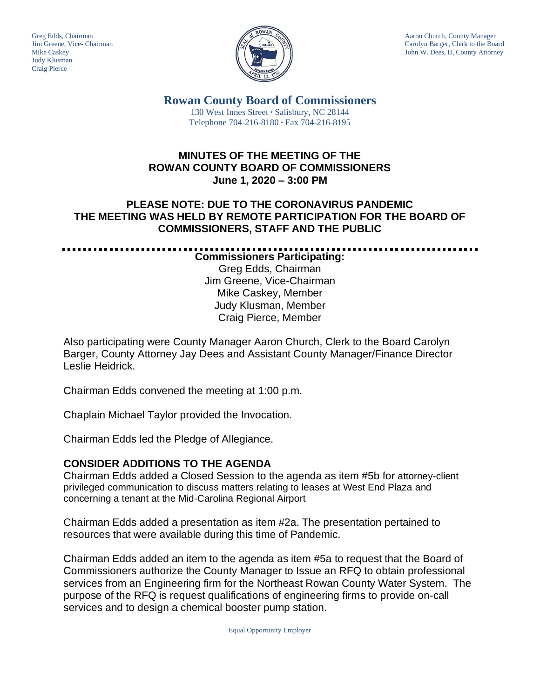Judy Klusman Craig Pierce



Greg Edds, Chairman Aaron Church, County Manager<br>Jim Greene, Vice- Chairman Aaron Church, County Manager and Aaron Church, County Manager and Aaron Church, County Manager Jim Greene, Vice- Chairman Carolyn Barger, Clerk to the Board Mike Caskev Carolyn Barger, Clerk to the Board Iohn W. Dees, II, County Attorney John W. Dees, II, County Attorney

. . . . . . . . . . . . . . . . . . .

**Rowan County Board of Commissioners** 130 West Innes Street **∙** Salisbury, NC 28144 Telephone 704-216-8180 **∙** Fax 704-216-8195

## **MINUTES OF THE MEETING OF THE ROWAN COUNTY BOARD OF COMMISSIONERS June 1, 2020 – 3:00 PM**

## **PLEASE NOTE: DUE TO THE CORONAVIRUS PANDEMIC THE MEETING WAS HELD BY REMOTE PARTICIPATION FOR THE BOARD OF COMMISSIONERS, STAFF AND THE PUBLIC**

**Commissioners Participating:** Greg Edds, Chairman Jim Greene, Vice-Chairman Mike Caskey, Member Judy Klusman, Member Craig Pierce, Member

Also participating were County Manager Aaron Church, Clerk to the Board Carolyn Barger, County Attorney Jay Dees and Assistant County Manager/Finance Director Leslie Heidrick.

Chairman Edds convened the meeting at 1:00 p.m.

Chaplain Michael Taylor provided the Invocation.

Chairman Edds led the Pledge of Allegiance.

## **CONSIDER ADDITIONS TO THE AGENDA**

Chairman Edds added a Closed Session to the agenda as item #5b for attorney-client privileged communication to discuss matters relating to leases at West End Plaza and concerning a tenant at the Mid-Carolina Regional Airport

Chairman Edds added a presentation as item #2a. The presentation pertained to resources that were available during this time of Pandemic.

Chairman Edds added an item to the agenda as item #5a to request that the Board of Commissioners authorize the County Manager to Issue an RFQ to obtain professional services from an Engineering firm for the Northeast Rowan County Water System. The purpose of the RFQ is request qualifications of engineering firms to provide on-call services and to design a chemical booster pump station.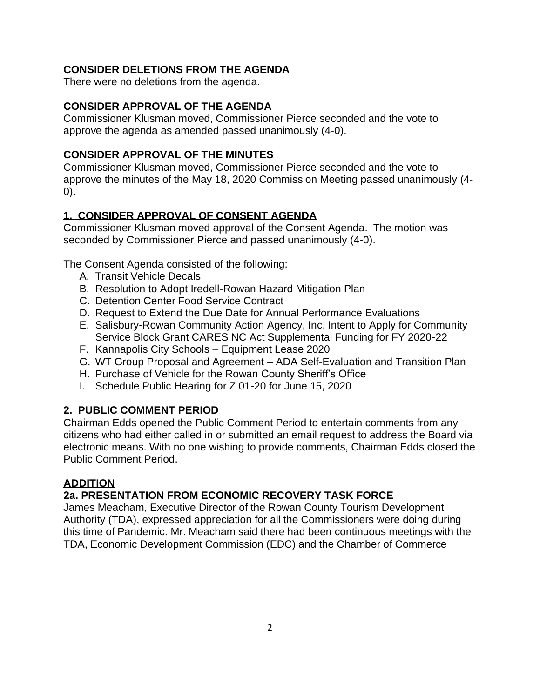## **CONSIDER DELETIONS FROM THE AGENDA**

There were no deletions from the agenda.

### **CONSIDER APPROVAL OF THE AGENDA**

Commissioner Klusman moved, Commissioner Pierce seconded and the vote to approve the agenda as amended passed unanimously (4-0).

### **CONSIDER APPROVAL OF THE MINUTES**

Commissioner Klusman moved, Commissioner Pierce seconded and the vote to approve the minutes of the May 18, 2020 Commission Meeting passed unanimously (4- 0).

## **1. CONSIDER APPROVAL OF CONSENT AGENDA**

Commissioner Klusman moved approval of the Consent Agenda. The motion was seconded by Commissioner Pierce and passed unanimously (4-0).

The Consent Agenda consisted of the following:

- A. Transit Vehicle Decals
- B. Resolution to Adopt Iredell-Rowan Hazard Mitigation Plan
- C. Detention Center Food Service Contract
- D. Request to Extend the Due Date for Annual Performance Evaluations
- E. Salisbury-Rowan Community Action Agency, Inc. Intent to Apply for Community Service Block Grant CARES NC Act Supplemental Funding for FY 2020-22
- F. Kannapolis City Schools Equipment Lease 2020
- G. WT Group Proposal and Agreement ADA Self-Evaluation and Transition Plan
- H. Purchase of Vehicle for the Rowan County Sheriff's Office
- I. Schedule Public Hearing for Z 01-20 for June 15, 2020

## **2. PUBLIC COMMENT PERIOD**

Chairman Edds opened the Public Comment Period to entertain comments from any citizens who had either called in or submitted an email request to address the Board via electronic means. With no one wishing to provide comments, Chairman Edds closed the Public Comment Period.

## **ADDITION**

## **2a. PRESENTATION FROM ECONOMIC RECOVERY TASK FORCE**

James Meacham, Executive Director of the Rowan County Tourism Development Authority (TDA), expressed appreciation for all the Commissioners were doing during this time of Pandemic. Mr. Meacham said there had been continuous meetings with the TDA, Economic Development Commission (EDC) and the Chamber of Commerce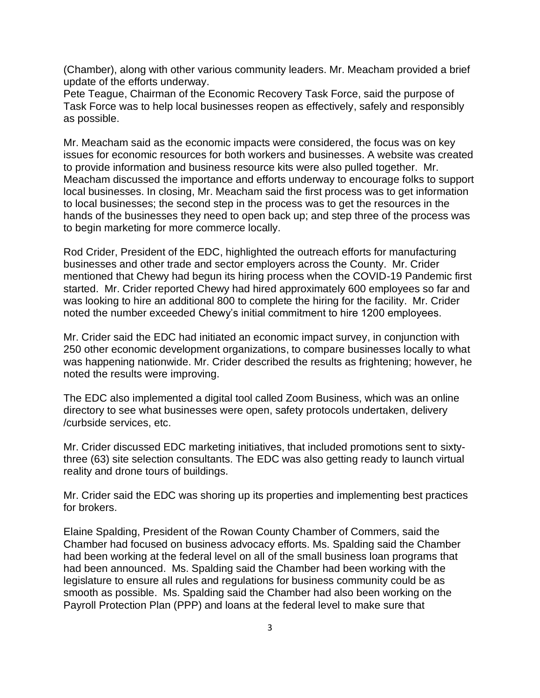(Chamber), along with other various community leaders. Mr. Meacham provided a brief update of the efforts underway.

Pete Teague, Chairman of the Economic Recovery Task Force, said the purpose of Task Force was to help local businesses reopen as effectively, safely and responsibly as possible.

Mr. Meacham said as the economic impacts were considered, the focus was on key issues for economic resources for both workers and businesses. A website was created to provide information and business resource kits were also pulled together. Mr. Meacham discussed the importance and efforts underway to encourage folks to support local businesses. In closing, Mr. Meacham said the first process was to get information to local businesses; the second step in the process was to get the resources in the hands of the businesses they need to open back up; and step three of the process was to begin marketing for more commerce locally.

Rod Crider, President of the EDC, highlighted the outreach efforts for manufacturing businesses and other trade and sector employers across the County. Mr. Crider mentioned that Chewy had begun its hiring process when the COVID-19 Pandemic first started. Mr. Crider reported Chewy had hired approximately 600 employees so far and was looking to hire an additional 800 to complete the hiring for the facility. Mr. Crider noted the number exceeded Chewy's initial commitment to hire 1200 employees.

Mr. Crider said the EDC had initiated an economic impact survey, in conjunction with 250 other economic development organizations, to compare businesses locally to what was happening nationwide. Mr. Crider described the results as frightening; however, he noted the results were improving.

The EDC also implemented a digital tool called Zoom Business, which was an online directory to see what businesses were open, safety protocols undertaken, delivery /curbside services, etc.

Mr. Crider discussed EDC marketing initiatives, that included promotions sent to sixtythree (63) site selection consultants. The EDC was also getting ready to launch virtual reality and drone tours of buildings.

Mr. Crider said the EDC was shoring up its properties and implementing best practices for brokers.

Elaine Spalding, President of the Rowan County Chamber of Commers, said the Chamber had focused on business advocacy efforts. Ms. Spalding said the Chamber had been working at the federal level on all of the small business loan programs that had been announced. Ms. Spalding said the Chamber had been working with the legislature to ensure all rules and regulations for business community could be as smooth as possible. Ms. Spalding said the Chamber had also been working on the Payroll Protection Plan (PPP) and loans at the federal level to make sure that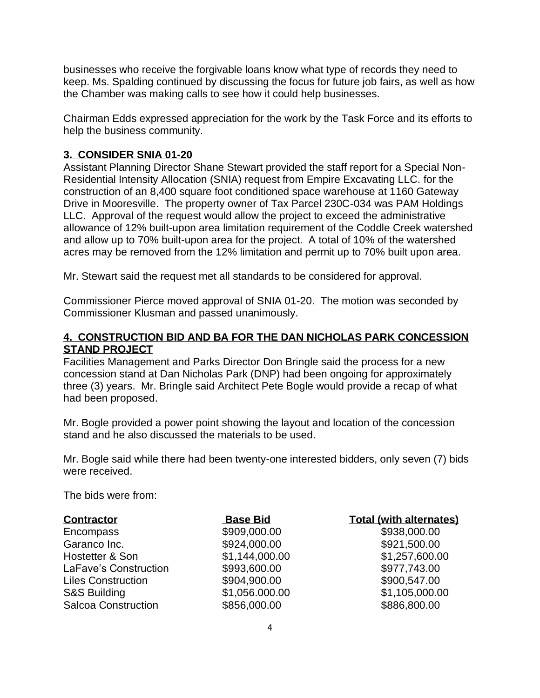businesses who receive the forgivable loans know what type of records they need to keep. Ms. Spalding continued by discussing the focus for future job fairs, as well as how the Chamber was making calls to see how it could help businesses.

Chairman Edds expressed appreciation for the work by the Task Force and its efforts to help the business community.

### **3. CONSIDER SNIA 01-20**

Assistant Planning Director Shane Stewart provided the staff report for a Special Non-Residential Intensity Allocation (SNIA) request from Empire Excavating LLC. for the construction of an 8,400 square foot conditioned space warehouse at 1160 Gateway Drive in Mooresville. The property owner of Tax Parcel 230C-034 was PAM Holdings LLC. Approval of the request would allow the project to exceed the administrative allowance of 12% built-upon area limitation requirement of the Coddle Creek watershed and allow up to 70% built-upon area for the project. A total of 10% of the watershed acres may be removed from the 12% limitation and permit up to 70% built upon area.

Mr. Stewart said the request met all standards to be considered for approval.

Commissioner Pierce moved approval of SNIA 01-20. The motion was seconded by Commissioner Klusman and passed unanimously.

## **4. CONSTRUCTION BID AND BA FOR THE DAN NICHOLAS PARK CONCESSION STAND PROJECT**

Facilities Management and Parks Director Don Bringle said the process for a new concession stand at Dan Nicholas Park (DNP) had been ongoing for approximately three (3) years. Mr. Bringle said Architect Pete Bogle would provide a recap of what had been proposed.

Mr. Bogle provided a power point showing the layout and location of the concession stand and he also discussed the materials to be used.

Mr. Bogle said while there had been twenty-one interested bidders, only seven (7) bids were received.

The bids were from:

| <b>Contractor</b>          | <b>Base Bid</b> | <b>Total (with alternates)</b> |
|----------------------------|-----------------|--------------------------------|
| Encompass                  | \$909,000.00    | \$938,000.00                   |
| Garanco Inc.               | \$924,000.00    | \$921,500.00                   |
| Hostetter & Son            | \$1,144,000.00  | \$1,257,600.00                 |
| LaFave's Construction      | \$993,600.00    | \$977,743.00                   |
| <b>Liles Construction</b>  | \$904,900.00    | \$900,547.00                   |
| <b>S&amp;S Building</b>    | \$1,056.000.00  | \$1,105,000.00                 |
| <b>Salcoa Construction</b> | \$856,000.00    | \$886,800.00                   |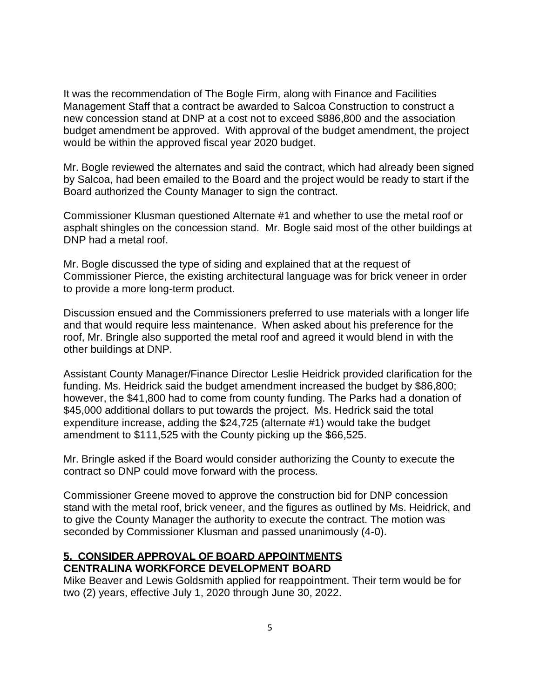It was the recommendation of The Bogle Firm, along with Finance and Facilities Management Staff that a contract be awarded to Salcoa Construction to construct a new concession stand at DNP at a cost not to exceed \$886,800 and the association budget amendment be approved. With approval of the budget amendment, the project would be within the approved fiscal year 2020 budget.

Mr. Bogle reviewed the alternates and said the contract, which had already been signed by Salcoa, had been emailed to the Board and the project would be ready to start if the Board authorized the County Manager to sign the contract.

Commissioner Klusman questioned Alternate #1 and whether to use the metal roof or asphalt shingles on the concession stand. Mr. Bogle said most of the other buildings at DNP had a metal roof.

Mr. Bogle discussed the type of siding and explained that at the request of Commissioner Pierce, the existing architectural language was for brick veneer in order to provide a more long-term product.

Discussion ensued and the Commissioners preferred to use materials with a longer life and that would require less maintenance. When asked about his preference for the roof, Mr. Bringle also supported the metal roof and agreed it would blend in with the other buildings at DNP.

Assistant County Manager/Finance Director Leslie Heidrick provided clarification for the funding. Ms. Heidrick said the budget amendment increased the budget by \$86,800; however, the \$41,800 had to come from county funding. The Parks had a donation of \$45,000 additional dollars to put towards the project. Ms. Hedrick said the total expenditure increase, adding the \$24,725 (alternate #1) would take the budget amendment to \$111,525 with the County picking up the \$66,525.

Mr. Bringle asked if the Board would consider authorizing the County to execute the contract so DNP could move forward with the process.

Commissioner Greene moved to approve the construction bid for DNP concession stand with the metal roof, brick veneer, and the figures as outlined by Ms. Heidrick, and to give the County Manager the authority to execute the contract. The motion was seconded by Commissioner Klusman and passed unanimously (4-0).

#### **5. CONSIDER APPROVAL OF BOARD APPOINTMENTS CENTRALINA WORKFORCE DEVELOPMENT BOARD**

Mike Beaver and Lewis Goldsmith applied for reappointment. Their term would be for two (2) years, effective July 1, 2020 through June 30, 2022.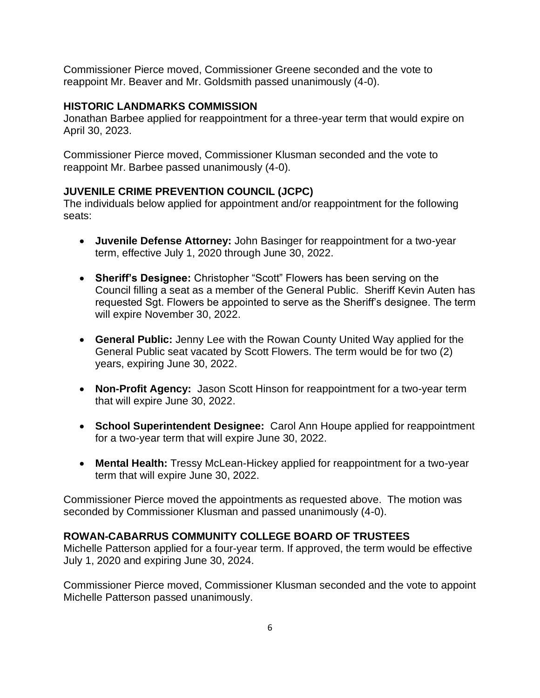Commissioner Pierce moved, Commissioner Greene seconded and the vote to reappoint Mr. Beaver and Mr. Goldsmith passed unanimously (4-0).

### **HISTORIC LANDMARKS COMMISSION**

Jonathan Barbee applied for reappointment for a three-year term that would expire on April 30, 2023.

Commissioner Pierce moved, Commissioner Klusman seconded and the vote to reappoint Mr. Barbee passed unanimously (4-0).

## **JUVENILE CRIME PREVENTION COUNCIL (JCPC)**

The individuals below applied for appointment and/or reappointment for the following seats:

- **Juvenile Defense Attorney:** John Basinger for reappointment for a two-year term, effective July 1, 2020 through June 30, 2022.
- **Sheriff's Designee:** Christopher "Scott" Flowers has been serving on the Council filling a seat as a member of the General Public. Sheriff Kevin Auten has requested Sgt. Flowers be appointed to serve as the Sheriff's designee. The term will expire November 30, 2022.
- **General Public:** Jenny Lee with the Rowan County United Way applied for the General Public seat vacated by Scott Flowers. The term would be for two (2) years, expiring June 30, 2022.
- **Non-Profit Agency:** Jason Scott Hinson for reappointment for a two-year term that will expire June 30, 2022.
- **School Superintendent Designee:** Carol Ann Houpe applied for reappointment for a two-year term that will expire June 30, 2022.
- **Mental Health:** Tressy McLean-Hickey applied for reappointment for a two-year term that will expire June 30, 2022.

Commissioner Pierce moved the appointments as requested above. The motion was seconded by Commissioner Klusman and passed unanimously (4-0).

## **ROWAN-CABARRUS COMMUNITY COLLEGE BOARD OF TRUSTEES**

Michelle Patterson applied for a four-year term. If approved, the term would be effective July 1, 2020 and expiring June 30, 2024.

Commissioner Pierce moved, Commissioner Klusman seconded and the vote to appoint Michelle Patterson passed unanimously.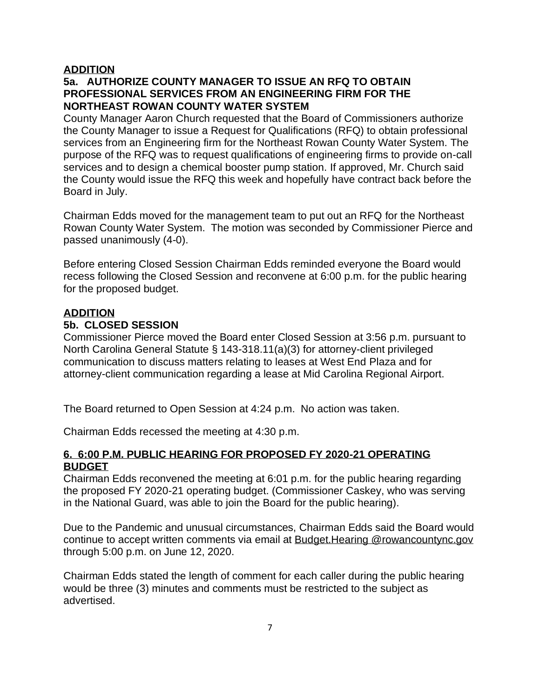## **ADDITION**

# **5a. AUTHORIZE COUNTY MANAGER TO ISSUE AN RFQ TO OBTAIN PROFESSIONAL SERVICES FROM AN ENGINEERING FIRM FOR THE NORTHEAST ROWAN COUNTY WATER SYSTEM**

County Manager Aaron Church requested that the Board of Commissioners authorize the County Manager to issue a Request for Qualifications (RFQ) to obtain professional services from an Engineering firm for the Northeast Rowan County Water System. The purpose of the RFQ was to request qualifications of engineering firms to provide on-call services and to design a chemical booster pump station. If approved, Mr. Church said the County would issue the RFQ this week and hopefully have contract back before the Board in July.

Chairman Edds moved for the management team to put out an RFQ for the Northeast Rowan County Water System. The motion was seconded by Commissioner Pierce and passed unanimously (4-0).

Before entering Closed Session Chairman Edds reminded everyone the Board would recess following the Closed Session and reconvene at 6:00 p.m. for the public hearing for the proposed budget.

## **ADDITION**

## **5b. CLOSED SESSION**

Commissioner Pierce moved the Board enter Closed Session at 3:56 p.m. pursuant to North Carolina General Statute § 143-318.11(a)(3) for attorney-client privileged communication to discuss matters relating to leases at West End Plaza and for attorney-client communication regarding a lease at Mid Carolina Regional Airport.

The Board returned to Open Session at 4:24 p.m. No action was taken.

Chairman Edds recessed the meeting at 4:30 p.m.

### **6. 6:00 P.M. PUBLIC HEARING FOR PROPOSED FY 2020-21 OPERATING BUDGET**

Chairman Edds reconvened the meeting at 6:01 p.m. for the public hearing regarding the proposed FY 2020-21 operating budget. (Commissioner Caskey, who was serving in the National Guard, was able to join the Board for the public hearing).

Due to the Pandemic and unusual circumstances, Chairman Edds said the Board would continue to accept written comments via email at Budget.Hearing @rowancountync.gov through 5:00 p.m. on June 12, 2020.

Chairman Edds stated the length of comment for each caller during the public hearing would be three (3) minutes and comments must be restricted to the subject as advertised.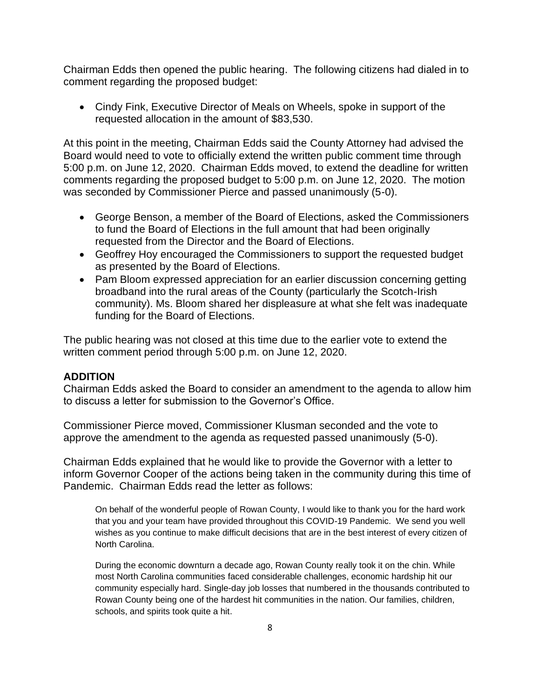Chairman Edds then opened the public hearing. The following citizens had dialed in to comment regarding the proposed budget:

• Cindy Fink, Executive Director of Meals on Wheels, spoke in support of the requested allocation in the amount of \$83,530.

At this point in the meeting, Chairman Edds said the County Attorney had advised the Board would need to vote to officially extend the written public comment time through 5:00 p.m. on June 12, 2020. Chairman Edds moved, to extend the deadline for written comments regarding the proposed budget to 5:00 p.m. on June 12, 2020. The motion was seconded by Commissioner Pierce and passed unanimously (5-0).

- George Benson, a member of the Board of Elections, asked the Commissioners to fund the Board of Elections in the full amount that had been originally requested from the Director and the Board of Elections.
- Geoffrey Hoy encouraged the Commissioners to support the requested budget as presented by the Board of Elections.
- Pam Bloom expressed appreciation for an earlier discussion concerning getting broadband into the rural areas of the County (particularly the Scotch-Irish community). Ms. Bloom shared her displeasure at what she felt was inadequate funding for the Board of Elections.

The public hearing was not closed at this time due to the earlier vote to extend the written comment period through 5:00 p.m. on June 12, 2020.

### **ADDITION**

Chairman Edds asked the Board to consider an amendment to the agenda to allow him to discuss a letter for submission to the Governor's Office.

Commissioner Pierce moved, Commissioner Klusman seconded and the vote to approve the amendment to the agenda as requested passed unanimously (5-0).

Chairman Edds explained that he would like to provide the Governor with a letter to inform Governor Cooper of the actions being taken in the community during this time of Pandemic. Chairman Edds read the letter as follows:

On behalf of the wonderful people of Rowan County, I would like to thank you for the hard work that you and your team have provided throughout this COVID-19 Pandemic. We send you well wishes as you continue to make difficult decisions that are in the best interest of every citizen of North Carolina.

During the economic downturn a decade ago, Rowan County really took it on the chin. While most North Carolina communities faced considerable challenges, economic hardship hit our community especially hard. Single-day job losses that numbered in the thousands contributed to Rowan County being one of the hardest hit communities in the nation. Our families, children, schools, and spirits took quite a hit.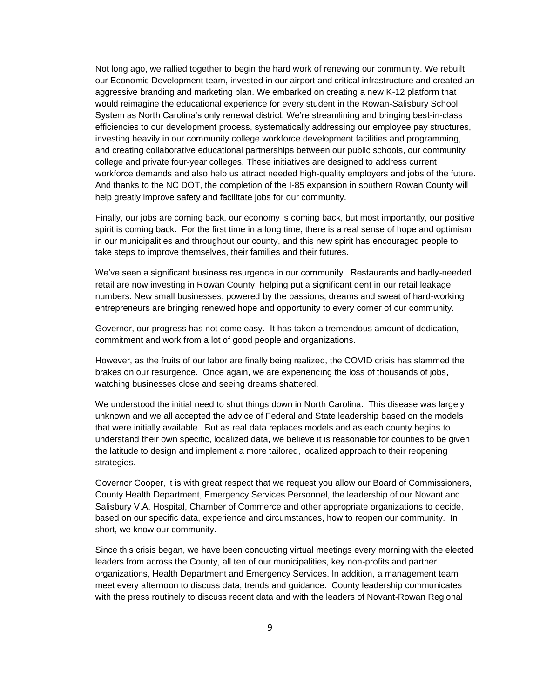Not long ago, we rallied together to begin the hard work of renewing our community. We rebuilt our Economic Development team, invested in our airport and critical infrastructure and created an aggressive branding and marketing plan. We embarked on creating a new K-12 platform that would reimagine the educational experience for every student in the Rowan-Salisbury School System as North Carolina's only renewal district. We're streamlining and bringing best-in-class efficiencies to our development process, systematically addressing our employee pay structures, investing heavily in our community college workforce development facilities and programming, and creating collaborative educational partnerships between our public schools, our community college and private four-year colleges. These initiatives are designed to address current workforce demands and also help us attract needed high-quality employers and jobs of the future. And thanks to the NC DOT, the completion of the I-85 expansion in southern Rowan County will help greatly improve safety and facilitate jobs for our community.

Finally, our jobs are coming back, our economy is coming back, but most importantly, our positive spirit is coming back. For the first time in a long time, there is a real sense of hope and optimism in our municipalities and throughout our county, and this new spirit has encouraged people to take steps to improve themselves, their families and their futures.

We've seen a significant business resurgence in our community. Restaurants and badly-needed retail are now investing in Rowan County, helping put a significant dent in our retail leakage numbers. New small businesses, powered by the passions, dreams and sweat of hard-working entrepreneurs are bringing renewed hope and opportunity to every corner of our community.

Governor, our progress has not come easy. It has taken a tremendous amount of dedication, commitment and work from a lot of good people and organizations.

However, as the fruits of our labor are finally being realized, the COVID crisis has slammed the brakes on our resurgence. Once again, we are experiencing the loss of thousands of jobs, watching businesses close and seeing dreams shattered.

We understood the initial need to shut things down in North Carolina. This disease was largely unknown and we all accepted the advice of Federal and State leadership based on the models that were initially available. But as real data replaces models and as each county begins to understand their own specific, localized data, we believe it is reasonable for counties to be given the latitude to design and implement a more tailored, localized approach to their reopening strategies.

Governor Cooper, it is with great respect that we request you allow our Board of Commissioners, County Health Department, Emergency Services Personnel, the leadership of our Novant and Salisbury V.A. Hospital, Chamber of Commerce and other appropriate organizations to decide, based on our specific data, experience and circumstances, how to reopen our community. In short, we know our community.

Since this crisis began, we have been conducting virtual meetings every morning with the elected leaders from across the County, all ten of our municipalities, key non-profits and partner organizations, Health Department and Emergency Services. In addition, a management team meet every afternoon to discuss data, trends and guidance. County leadership communicates with the press routinely to discuss recent data and with the leaders of Novant-Rowan Regional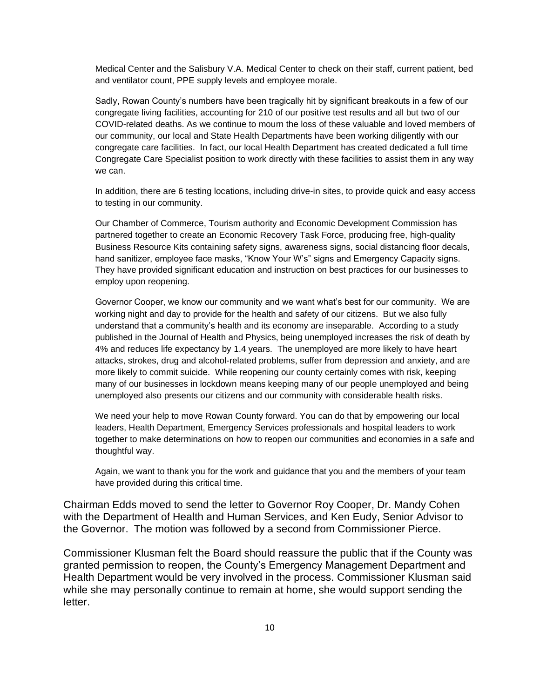Medical Center and the Salisbury V.A. Medical Center to check on their staff, current patient, bed and ventilator count, PPE supply levels and employee morale.

Sadly, Rowan County's numbers have been tragically hit by significant breakouts in a few of our congregate living facilities, accounting for 210 of our positive test results and all but two of our COVID-related deaths. As we continue to mourn the loss of these valuable and loved members of our community, our local and State Health Departments have been working diligently with our congregate care facilities. In fact, our local Health Department has created dedicated a full time Congregate Care Specialist position to work directly with these facilities to assist them in any way we can.

In addition, there are 6 testing locations, including drive-in sites, to provide quick and easy access to testing in our community.

Our Chamber of Commerce, Tourism authority and Economic Development Commission has partnered together to create an Economic Recovery Task Force, producing free, high-quality Business Resource Kits containing safety signs, awareness signs, social distancing floor decals, hand sanitizer, employee face masks, "Know Your W's" signs and Emergency Capacity signs. They have provided significant education and instruction on best practices for our businesses to employ upon reopening.

Governor Cooper, we know our community and we want what's best for our community. We are working night and day to provide for the health and safety of our citizens. But we also fully understand that a community's health and its economy are inseparable. According to a study published in the Journal of Health and Physics, being unemployed increases the risk of death by 4% and reduces life expectancy by 1.4 years. The unemployed are more likely to have heart attacks, strokes, drug and alcohol-related problems, suffer from depression and anxiety, and are more likely to commit suicide. While reopening our county certainly comes with risk, keeping many of our businesses in lockdown means keeping many of our people unemployed and being unemployed also presents our citizens and our community with considerable health risks.

We need your help to move Rowan County forward. You can do that by empowering our local leaders, Health Department, Emergency Services professionals and hospital leaders to work together to make determinations on how to reopen our communities and economies in a safe and thoughtful way.

Again, we want to thank you for the work and guidance that you and the members of your team have provided during this critical time.

Chairman Edds moved to send the letter to Governor Roy Cooper, Dr. Mandy Cohen with the Department of Health and Human Services, and Ken Eudy, Senior Advisor to the Governor. The motion was followed by a second from Commissioner Pierce.

Commissioner Klusman felt the Board should reassure the public that if the County was granted permission to reopen, the County's Emergency Management Department and Health Department would be very involved in the process. Commissioner Klusman said while she may personally continue to remain at home, she would support sending the letter.